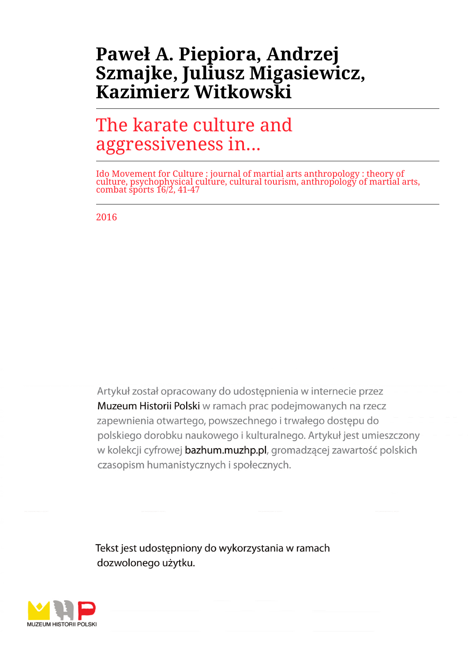# **Paweł A. Piepiora, Andrzej Szmajke, Juliusz Migasiewicz, Kazimierz Witkowski**

# The karate culture and aggressiveness in...

Ido Movement for Culture : journal of martial arts anthropology : theory of culture, psychophysical culture, cultural tourism, anthropology of martial arts, combat sports 16/2, 41-47

2016

Artykuł został opracowany do udostepnienia w internecie przez Muzeum Historii Polski w ramach prac podejmowanych na rzecz zapewnienia otwartego, powszechnego i trwałego dostępu do polskiego dorobku naukowego i kulturalnego. Artykuł jest umieszczony w kolekcji cyfrowej bazhum.muzhp.pl, gromadzącej zawartość polskich czasopism humanistycznych i społecznych.

Tekst jest udostępniony do wykorzystania w ramach dozwolonego użytku.

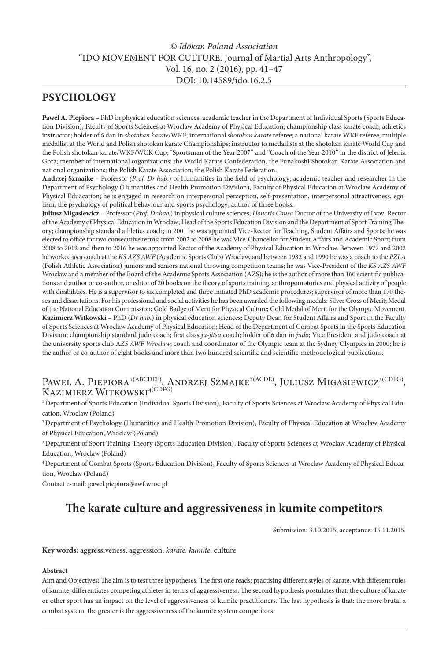# *© Idōkan Poland Association* "IDO MOVEMENT FOR CULTURE. Journal of Martial Arts Anthropology", Vol. 16, no. 2 (2016), pp. 41–47 DOI: 10.14589/ido.16.2.5

# **PSYCHOLOGY**

**Pawel A. Piepiora** – PhD in physical education sciences, academic teacher in the Department of Individual Sports (Sports Education Division), Faculty of Sports Sciences at Wroclaw Academy of Physical Education; championship class karate coach; athletics instructor; holder of 6 dan in *shotokan karate*/WKF; international *shotokan karate* referee; a national karate WKF referee; multiple medallist at the World and Polish shotokan karate Championships; instructor to medallists at the shotokan karate World Cup and the Polish shotokan karate/WKF/WCK Cup; "Sportsman of the Year 2007" and "Coach of the Year 2010" in the district of Jelenia Gora; member of international organizations: the World Karate Confederation, the Funakoshi Shotokan Karate Association and national organizations: the Polish Karate Association, the Polish Karate Federation.

**Andrzej Szmajke** – Professor *(Prof. Dr hab*.) of Humanities in the field of psychology; academic teacher and researcher in the Department of Psychology (Humanities and Health Promotion Division), Faculty of Physical Education at Wroclaw Academy of Physical Eduacation; he is engaged in research on interpersonal perception, self-presentation, interpersonal attractiveness, egotism, the psychology of political behaviour and sports psychology; author of three books.

**Juliusz Migasiewicz** – Professor (*Prof. Dr hab.*) in physical culture sciences; *Honoris Causa* Doctor of the University of Lvov; Rector of the Academy of Physical Education in Wroclaw; Head of the Sports Education Division and the Department of Sport Training Theory; championship standard athletics coach; in 2001 he was appointed Vice-Rector for Teaching, Student Affairs and Sports; he was elected to office for two consecutive terms; from 2002 to 2008 he was Vice-Chancellor for Student Affairs and Academic Sport; from 2008 to 2012 and then to 2016 he was appointed Rector of the Academy of Physical Education in Wroclaw. Between 1977 and 2002 he worked as a coach at the *KS AZS AWF* (Academic Sports Club) Wroclaw, and between 1982 and 1990 he was a coach to the *PZLA* (Polish Athletic Association) juniors and seniors national throwing competition teams; he was Vice-President of the *KS AZS AWF* Wroclaw and a member of the Board of the Academic Sports Association (AZS); he is the author of more than 160 scientific publications and author or co-author, or editor of 20 books on the theory of sports training, anthropomotorics and physical activity of people with disabilities. He is a supervisor to six completed and three initiated PhD academic procedures; supervisor of more than 170 theses and dissertations. For his professional and social activities he has been awarded the following medals: Silver Cross of Merit; Medal of the National Education Commission; Gold Badge of Merit for Physical Culture; Gold Medal of Merit for the Olympic Movement. **Kazimierz Witkowski** – PhD (*Dr hab*.) in physical education sciences; Deputy Dean for Student Affairs and Sport in the Faculty of Sports Sciences at Wroclaw Academy of Physical Education; Head of the Department of Combat Sports in the Sports Education Division; championship standard judo coach; first class *ju-jitsu* coach; holder of 6 dan in *judo*; Vice President and judo coach at the university sports club A*ZS AWF Wroclaw*; coach and coordinator of the Olympic team at the Sydney Olympics in 2000; he is the author or co-author of eight books and more than two hundred scientific and scientific-methodological publications.

# PAWEL A. PIEPIORA<sup>1(ABCDEF)</sup>, ANDRZEJ SZMAJKE<sup>2(ACDE)</sup>, JULIUSZ MIGASIEWICZ<sup>3(CDFG)</sup>, KAZIMIERZ WITKOWSKI<sup>4(CDFG)</sup>

1 Department of Sports Education (Individual Sports Division), Faculty of Sports Sciences at Wroclaw Academy of Physical Education, Wroclaw (Poland)

2 Department of Psychology (Humanities and Health Promotion Division), Faculty of Physical Education at Wroclaw Academy of Physical Education, Wroclaw (Poland)

3 Department of Sport Training Theory (Sports Education Division), Faculty of Sports Sciences at Wroclaw Academy of Physical Education, Wroclaw (Poland)

4 Department of Combat Sports (Sports Education Division), Faculty of Sports Sciences at Wroclaw Academy of Physical Education, Wroclaw (Poland)

Contact e-mail: pawel.piepiora@awf.wroc.pl

# **The karate culture and aggressiveness in kumite competitors**

Submission: 3.10.2015; acceptance: 15.11.2015.

**Key words:** aggressiveness, aggression, *karate, kumite*, culture

### **Abstract**

Aim and Objectives: The aim is to test three hypotheses. The first one reads: practising different styles of karate, with different rules of kumite, differentiates competing athletes in terms of aggressiveness. The second hypothesis postulates that: the culture of karate or other sport has an impact on the level of aggressiveness of kumite practitioners. The last hypothesis is that: the more brutal a combat system, the greater is the aggressiveness of the kumite system competitors.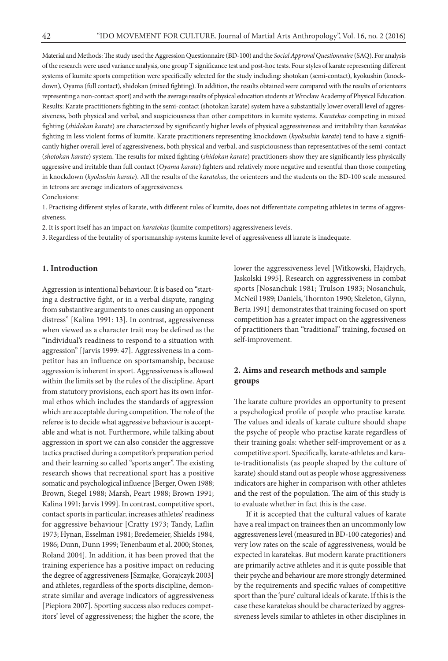Material and Methods: The study used the Aggression Questionnaire (BD-100) and the *Social Approval Questionnaire* (SAQ). For analysis of the research were used variance analysis, one group T significance test and post-hoc tests. Four styles of karate representing different systems of kumite sports competition were specifically selected for the study including: shotokan (semi-contact), kyokushin (knockdown), Oyama (full contact), shidokan (mixed fighting). In addition, the results obtained were compared with the results of orienteers representing a non-contact sport) and with the average results of physical education students at Wroclaw Academy of Physical Education. Results: Karate practitioners fighting in the semi-contact (shotokan karate) system have a substantially lower overall level of aggressiveness, both physical and verbal, and suspiciousness than other competitors in kumite systems. *Karatekas* competing in mixed fighting (*shidokan karate*) are characterized by significantly higher levels of physical aggressiveness and irritability than *karatekas* fighting in less violent forms of kumite. Karate practitioners representing knockdown (*kyokushin karate*) tend to have a significantly higher overall level of aggressiveness, both physical and verbal, and suspiciousness than representatives of the semi-contact (*shotokan karate*) system. The results for mixed fighting (*shidokan karate*) practitioners show they are significantly less physically aggressive and irritable than full contact (*Oyama karate*) fighters and relatively more negative and resentful than those competing in knockdown (*kyokushin karate*). All the results of the *karatekas*, the orienteers and the students on the BD-100 scale measured in tetrons are average indicators of aggressiveness.

Conclusions:

1. Practising different styles of karate, with different rules of kumite, does not differentiate competing athletes in terms of aggressiveness.

2. It is sport itself has an impact on *karatekas* (kumite competitors) aggressiveness levels.

3. Regardless of the brutality of sportsmanship systems kumite level of aggressiveness all karate is inadequate.

## **1. Introduction**

Aggression is intentional behaviour. It is based on "starting a destructive fight, or in a verbal dispute, ranging from substantive arguments to ones causing an opponent distress" [Kalina 1991: 13]. In contrast, aggressiveness when viewed as a character trait may be defined as the "individual's readiness to respond to a situation with aggression" [Jarvis 1999: 47]. Aggressiveness in a competitor has an influence on sportsmanship, because aggression is inherent in sport. Aggressiveness is allowed within the limits set by the rules of the discipline. Apart from statutory provisions, each sport has its own informal ethos which includes the standards of aggression which are acceptable during competition. The role of the referee is to decide what aggressive behaviour is acceptable and what is not. Furthermore, while talking about aggression in sport we can also consider the aggressive tactics practised during a competitor's preparation period and their learning so called "sports anger". The existing research shows that recreational sport has a positive somatic and psychological influence [Berger, Owen 1988; Brown, Siegel 1988; Marsh, Peart 1988; Brown 1991; Kalina 1991; Jarvis 1999]. In contrast, competitive sport, contact sports in particular, increases athletes' readiness for aggressive behaviour [Cratty 1973; Tandy, Laflin 1973; Hynan, Esselman 1981; Bredemeier, Shields 1984, 1986; Dunn, Dunn 1999; Tenenbaum et al. 2000; Stones, Roland 2004]. In addition, it has been proved that the training experience has a positive impact on reducing the degree of aggressiveness [Szmajke, Gorajczyk 2003] and athletes, regardless of the sports discipline, demonstrate similar and average indicators of aggressiveness [Piepiora 2007]. Sporting success also reduces competitors' level of aggressiveness; the higher the score, the

lower the aggressiveness level [Witkowski, Hajdrych, Jaskolski 1995]. Research on aggressiveness in combat sports [Nosanchuk 1981; Trulson 1983; Nosanchuk, McNeil 1989; Daniels, Thornton 1990; Skeleton, Glynn, Berta 1991] demonstrates that training focused on sport competition has a greater impact on the aggressiveness of practitioners than "traditional" training, focused on self-improvement.

# **2. Aims and research methods and sample groups**

The karate culture provides an opportunity to present a psychological profile of people who practise karate. The values and ideals of karate culture should shape the psyche of people who practise karate regardless of their training goals: whether self-improvement or as a competitive sport. Specifically, karate-athletes and karate-traditionalists (as people shaped by the culture of karate) should stand out as people whose aggressiveness indicators are higher in comparison with other athletes and the rest of the population. The aim of this study is to evaluate whether in fact this is the case.

If it is accepted that the cultural values of karate have a real impact on trainees then an uncommonly low aggressiveness level (measured in BD-100 categories) and very low rates on the scale of aggressiveness, would be expected in karatekas. But modern karate practitioners are primarily active athletes and it is quite possible that their psyche and behaviour are more strongly determined by the requirements and specific values of competitive sport than the 'pure' cultural ideals of karate. If this is the case these karatekas should be characterized by aggressiveness levels similar to athletes in other disciplines in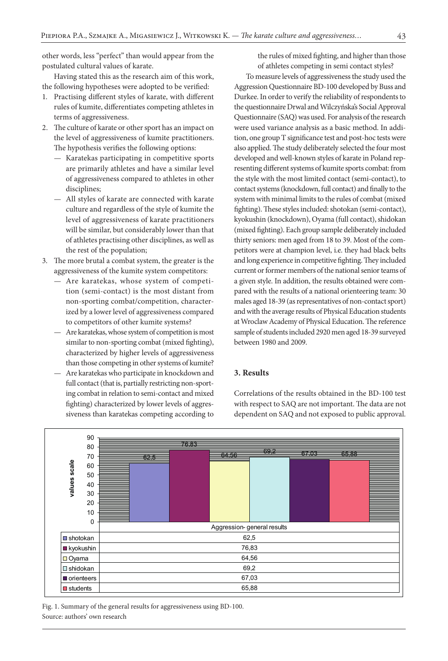other words, less "perfect" than would appear from the postulated cultural values of karate.

Having stated this as the research aim of this work, the following hypotheses were adopted to be verified:

- 1. Practising different styles of karate, with different rules of kumite, differentiates competing athletes in terms of aggressiveness.
- 2. The culture of karate or other sport has an impact on the level of aggressiveness of kumite practitioners. The hypothesis verifies the following options:
	- Karatekas participating in competitive sports are primarily athletes and have a similar level of aggressiveness compared to athletes in other disciplines;
	- All styles of karate are connected with karate culture and regardless of the style of kumite the level of aggressiveness of karate practitioners will be similar, but considerably lower than that of athletes practising other disciplines, as well as the rest of the population;
- 3. The more brutal a combat system, the greater is the aggressiveness of the kumite system competitors:
	- Are karatekas, whose system of competition (semi-contact) is the most distant from non-sporting combat/competition, characterized by a lower level of aggressiveness compared to competitors of other kumite systems?
	- Are karatekas, whose system of competition is most similar to non-sporting combat (mixed fighting), characterized by higher levels of aggressiveness than those competing in other systems of kumite?
	- Are karatekas who participate in knockdown and full contact (that is, partially restricting non-sporting combat in relation to semi-contact and mixed fighting) characterized by lower levels of aggressiveness than karatekas competing according to

the rules of mixed fighting, and higher than those of athletes competing in semi contact styles?

To measure levels of aggressiveness the study used the Aggression Questionnaire BD-100 developed by Buss and Durkee. In order to verify the reliability of respondents to the questionnaire Drwal and Wilczyńska's Social Approval Questionnaire (SAQ) was used. For analysis of the research were used variance analysis as a basic method. In addition, one group T significance test and post-hoc tests were also applied. The study deliberately selected the four most developed and well-known styles of karate in Poland representing different systems of kumite sports combat: from the style with the most limited contact (semi-contact), to contact systems (knockdown, full contact) and finally to the system with minimal limits to the rules of combat (mixed fighting). These styles included: shotokan (semi-contact), kyokushin (knockdown), Oyama (full contact), shidokan (mixed fighting). Each group sample deliberately included thirty seniors: men aged from 18 to 39. Most of the competitors were at champion level, i.e. they had black belts and long experience in competitive fighting. They included current or former members of the national senior teams of a given style. In addition, the results obtained were compared with the results of a national orienteering team: 30 males aged 18-39 (as representatives of non-contact sport) and with the average results of Physical Education students at Wroclaw Academy of Physical Education. The reference sample of students included 2920 men aged 18-39 surveyed between 1980 and 2009.

# **3. Results**

Correlations of the results obtained in the BD-100 test with respect to SAQ are not important. The data are not dependent on SAQ and not exposed to public approval.



Fig. 1. Summary of the general results for aggressiveness using BD-100. Source: authors' own research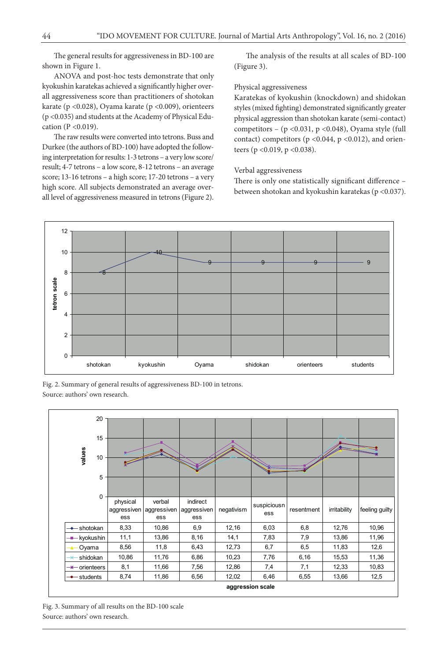The general results for aggressiveness in BD-100 are shown in Figure 1.

ANOVA and post-hoc tests demonstrate that only kyokushin karatekas achieved a significantly higher overall aggressiveness score than practitioners of shotokan karate (p <0.028), Oyama karate (p <0.009), orienteers (p <0.035) and students at the Academy of Physical Education (P <0.019).

The raw results were converted into tetrons. Buss and Durkee (the authors of BD-100) have adopted the following interpretation for results: 1-3 tetrons – a very low score/ result; 4-7 tetrons – a low score, 8-12 tetrons – an average score; 13-16 tetrons – a high score; 17-20 tetrons – a very high score. All subjects demonstrated an average overall level of aggressiveness measured in tetrons (Figure 2).

The analysis of the results at all scales of BD-100 (Figure 3).

#### Physical aggressiveness

Karatekas of kyokushin (knockdown) and shidokan styles (mixed fighting) demonstrated significantly greater physical aggression than shotokan karate (semi-contact) competitors –  $(p \le 0.031, p \le 0.048)$ , Oyama style (full contact) competitors ( $p$  <0.044,  $p$  <0.012), and orienteers (p <0.019, p <0.038).

#### Verbal aggressiveness

There is only one statistically significant difference – between shotokan and kyokushin karatekas (p <0.037).



Fig. 2. Summary of general results of aggressiveness BD-100 in tetrons. Source: authors' own research.



Fig. 3. Summary of all results on the BD-100 scale Source: authors' own research.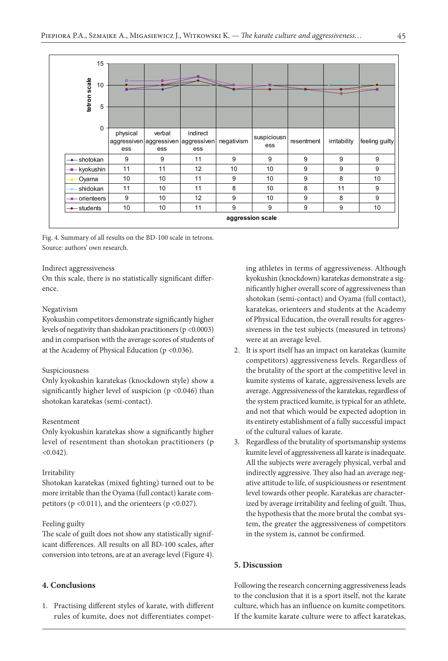

Fig. 4. Summary of all results on the BD-100 scale in tetrons. Source: authors' own research.

#### Indirect aggressiveness

On this scale, there is no statistically significant difference.

#### Negativism

Kyokushin competitors demonstrate significantly higher levels of negativity than shidokan practitioners (p <0.0003) and in comparison with the average scores of students of at the Academy of Physical Education (p <0.036).

#### Suspiciousness

Only kyokushin karatekas (knockdown style) show a significantly higher level of suspicion ( $p$  <0.046) than shotokan karatekas (semi-contact).

#### Resentment

Only kyokushin karatekas show a significantly higher level of resentment than shotokan practitioners (p  $< 0.042$ ).

#### Irritability

Shotokan karatekas (mixed fighting) turned out to be more irritable than the Oyama (full contact) karate competitors ( $p \le 0.011$ ), and the orienteers ( $p \le 0.027$ ).

#### Feeling guilty

The scale of guilt does not show any statistically significant differences. All results on all BD-100 scales, after conversion into tetrons, are at an average level (Figure 4).

## **4. Conclusions**

1. Practising different styles of karate, with different rules of kumite, does not differentiates compet-

ing athletes in terms of aggressiveness. Although kyokushin (knockdown) karatekas demonstrate a significantly higher overall score of aggressiveness than shotokan (semi-contact) and Oyama (full contact), karatekas, orienteers and students at the Academy of Physical Education, the overall results for aggressiveness in the test subjects (measured in tetrons) were at an average level.

- 2. It is sport itself has an impact on karatekas (kumite competitors) aggressiveness levels. Regardless of the brutality of the sport at the competitive level in kumite systems of karate, aggressiveness levels are average. Aggressiveness of the karatekas, regardless of the system practiced kumite, is typical for an athlete, and not that which would be expected adoption in its entirety establishment of a fully successful impact of the cultural values of karate.
- 3. Regardless of the brutality of sportsmanship systems kumite level of aggressiveness all karate is inadequate. All the subjects were averagely physical, verbal and indirectly aggressive. They also had an average negative attitude to life, of suspiciousness or resentment level towards other people. Karatekas are characterized by average irritability and feeling of guilt. Thus, the hypothesis that the more brutal the combat system, the greater the aggressiveness of competitors in the system is, cannot be confirmed.

# **5. Discussion**

Following the research concerning aggressiveness leads to the conclusion that it is a sport itself, not the karate culture, which has an influence on kumite competitors. If the kumite karate culture were to affect karatekas,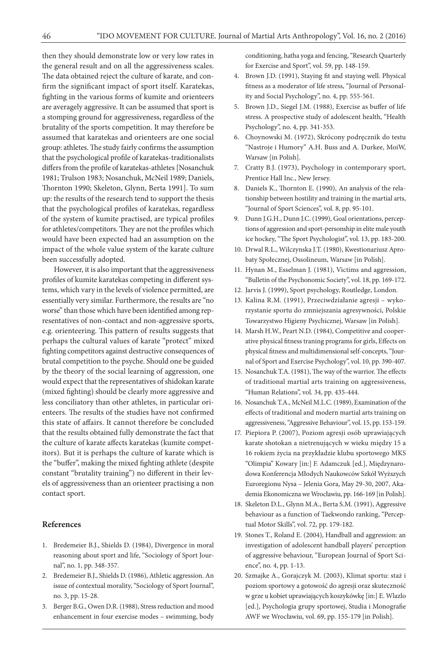then they should demonstrate low or very low rates in the general result and on all the aggressiveness scales. The data obtained reject the culture of karate, and confirm the significant impact of sport itself. Karatekas, fighting in the various forms of kumite and orienteers are averagely aggressive. It can be assumed that sport is a stomping ground for aggressiveness, regardless of the brutality of the sports competition. It may therefore be assumed that karatekas and orienteers are one social group: athletes. The study fairly confirms the assumption that the psychological profile of karatekas-traditionalists differs from the profile of karatekas-athletes [Nosanchuk 1981; Trulson 1983; Nosanchuk, McNeil 1989; Daniels, Thornton 1990; Skeleton, Glynn, Berta 1991]. To sum up: the results of the research tend to support the thesis that the psychological profiles of karatekas, regardless of the system of kumite practised, are typical profiles for athletes/competitors. They are not the profiles which would have been expected had an assumption on the impact of the whole value system of the karate culture been successfully adopted.

However, it is also important that the aggressiveness profiles of kumite karatekas competing in different systems, which vary in the levels of violence permitted, are essentially very similar. Furthermore, the results are "no worse" than those which have been identified among representatives of non-contact and non-aggressive sports, e.g. orienteering. This pattern of results suggests that perhaps the cultural values of karate "protect" mixed fighting competitors against destructive consequences of brutal competition to the psyche. Should one be guided by the theory of the social learning of aggression, one would expect that the representatives of shidokan karate (mixed fighting) should be clearly more aggressive and less conciliatory than other athletes, in particular orienteers. The results of the studies have not confirmed this state of affairs. It cannot therefore be concluded that the results obtained fully demonstrate the fact that the culture of karate affects karatekas (kumite competitors). But it is perhaps the culture of karate which is the "buffer", making the mixed fighting athlete (despite constant "brutality training") no different in their levels of aggressiveness than an orienteer practising a non contact sport.

## **References**

- 1. Bredemeier B.J., Shields D. (1984), Divergence in moral reasoning about sport and life, "Sociology of Sport Journal", no. 1, pp. 348-357.
- 2. Bredemeier B.J., Shields D. (1986), Athletic aggression. An issue of contextual morality, "Sociology of Sport Journal", no. 3, pp. 15-28.
- 3. Berger B.G., Owen D.R. (1988), Stress reduction and mood enhancement in four exercise modes – swimming, body

conditioning, hatha yoga and fencing, "Research Quarterly for Exercise and Sport", vol. 59, pp. 148-159.

- 4. Brown J.D. (1991), Staying fit and staying well. Physical fitness as a moderator of life stress, "Journal of Personality and Social Psychology", no. 4, pp. 555-561.
- 5. Brown J.D., Siegel J.M. (1988), Exercise as buffer of life stress. A prospective study of adolescent health, "Health Psychology", no. 4, pp. 341-353.
- 6. Choynowski M. (1972), Skrócony podręcznik do testu "Nastroje i Humory" A.H. Buss and A. Durkee, MoiW, Warsaw [in Polish].
- 7. Cratty B.J. (1973), Psychology in contemporary sport, Prentice Hall Inc., New Jersey.
- 8. Daniels K., Thornton E. (1990), An analysis of the relationship between hostility and training in the martial arts, "Journal of Sport Sciences", vol. 8, pp. 95-101.
- 9. Dunn J.G.H., Dunn J.C. (1999), Goal orientations, perceptions of aggression and sport-personship in elite male youth ice hockey, "The Sport Psychologist", vol. 13, pp. 183-200.
- 10. Drwal R.L., Wilczynska J.T. (1980), Kwestionariusz Aprobaty Społecznej, Ossolineum, Warsaw [in Polish].
- 11. Hynan M., Esselman J. (1981), Victims and aggression, "Bulletin of the Psychonomic Society", vol. 18, pp. 169-172.
- 12. Jarvis J. (1999), Sport psychology, Routledge, London.
- 13. Kalina R.M. (1991), Przeciwdziałanie agresji wykorzystanie sportu do zmniejszania agresywności, Polskie Towarzystwo Higieny Psychicznej, Warsaw [in Polish].
- 14. Marsh H.W., Peart N.D. (1984), Competitive and cooperative physical fitness traning programs for girls, Effects on physical fitness and multidimensional self-concepts, "Journal of Sport and Exercise Psychology", vol. 10, pp. 390-407.
- 15. Nosanchuk T.A. (1981), The way of the warrior. The effects of traditional martial arts training on aggressiveness, "Human Relations", vol. 34, pp. 435-444.
- 16. Nosanchuk T.A., McNeil M.L.C. (1989), Examination of the effects of traditional and modern martial arts training on aggressiveness, "Aggressive Behaviour", vol. 15, pp. 153-159.
- 17. Piepiora P. (2007), Poziom agresji osób uprawiających karate shotokan a nietrenujących w wieku między 15 a 16 rokiem życia na przykładzie klubu sportowego MKS "Olimpia" Kowary [in:] F. Adamczuk [ed.], Międzynarodowa Konferencja Młodych Naukowców Szkół Wyższych Euroregionu Nysa – Jelenia Gora, May 29-30, 2007, Akademia Ekonomiczna we Wrocławiu, pp. 166-169 [in Polish].
- 18. Skeleton D.L., Glynn M.A., Berta S.M. (1991), Aggressive behaviour as a function of Taekwondo ranking, "Perceptual Motor Skills", vol. 72, pp. 179-182.
- 19. Stones T., Roland E. (2004), Handball and aggression: an investigation of adolescent handball players' perception of aggressive behaviour, "European Journal of Sport Science", no. 4, pp. 1-13.
- 20. Szmajke A., Gorajczyk M. (2003), Klimat sportu: staż i poziom sportowy a gotowość do agresji oraz skuteczność w grze u kobiet uprawiających koszykówkę [in:] E. Wlazlo [ed.], Psychologia grupy sportowej, Studia i Monografie AWF we Wrocławiu, vol. 69, pp. 155-179 [in Polish].